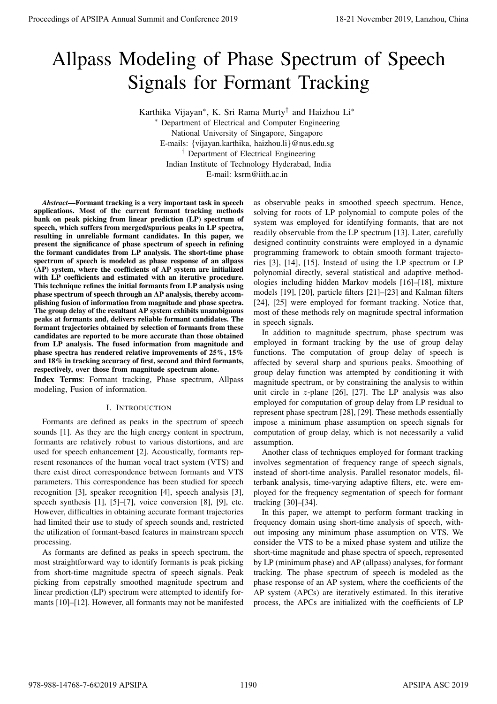# Allpass Modeling of Phase Spectrum of Speech Signals for Formant Tracking

Karthika Vijayan∗, K. Sri Rama Murty† and Haizhou Li∗

∗ Department of Electrical and Computer Engineering National University of Singapore, Singapore E-mails: {vijayan.karthika, haizhou.li}@nus.edu.sg † Department of Electrical Engineering Indian Institute of Technology Hyderabad, India E-mail: ksrm@iith.ac.in

*Abstract***—Formant tracking is a very important task in speech applications. Most of the current formant tracking methods bank on peak picking from linear prediction (LP) spectrum of speech, which suffers from merged/spurious peaks in LP spectra, resulting in unreliable formant candidates. In this paper, we present the significance of phase spectrum of speech in refining the formant candidates from LP analysis. The short-time phase spectrum of speech is modeled as phase response of an allpass (AP) system, where the coefficients of AP system are initialized with LP coefficients and estimated with an iterative procedure. This technique refines the initial formants from LP analysis using phase spectrum of speech through an AP analysis, thereby accomplishing fusion of information from magnitude and phase spectra. The group delay of the resultant AP system exhibits unambiguous peaks at formants and, delivers reliable formant candidates. The formant trajectories obtained by selection of formants from these candidates are reported to be more accurate than those obtained from LP analysis. The fused information from magnitude and phase spectra has rendered relative improvements of 25%, 15% and 18% in tracking accuracy of first, second and third formants, respectively, over those from magnitude spectrum alone. Proceedings of APSIPA Annual Summit and Conference 2019**<br> **All passes Schooling of Phase Spectrum of Speech Signals for Formatin Tracking**<br> **Annual Supplementary and Summit and Conference 2019, Langham and Conference 201** 

**Index Terms**: Formant tracking, Phase spectrum, Allpass modeling, Fusion of information.

## I. INTRODUCTION

Formants are defined as peaks in the spectrum of speech sounds [1]. As they are the high energy content in spectrum, formants are relatively robust to various distortions, and are used for speech enhancement [2]. Acoustically, formants represent resonances of the human vocal tract system (VTS) and there exist direct correspondence between formants and VTS parameters. This correspondence has been studied for speech recognition [3], speaker recognition [4], speech analysis [3], speech synthesis [1], [5]–[7], voice conversion [8], [9], etc. However, difficulties in obtaining accurate formant trajectories had limited their use to study of speech sounds and, restricted the utilization of formant-based features in mainstream speech processing.

As formants are defined as peaks in speech spectrum, the most straightforward way to identify formants is peak picking from short-time magnitude spectra of speech signals. Peak picking from cepstrally smoothed magnitude spectrum and linear prediction (LP) spectrum were attempted to identify formants [10]–[12]. However, all formants may not be manifested

as observable peaks in smoothed speech spectrum. Hence, solving for roots of LP polynomial to compute poles of the system was employed for identifying formants, that are not readily observable from the LP spectrum [13]. Later, carefully designed continuity constraints were employed in a dynamic programming framework to obtain smooth formant trajectories [3], [14], [15]. Instead of using the LP spectrum or LP polynomial directly, several statistical and adaptive methodologies including hidden Markov models [16]–[18], mixture models [19], [20], particle filters [21]–[23] and Kalman filters [24], [25] were employed for formant tracking. Notice that, most of these methods rely on magnitude spectral information in speech signals.

In addition to magnitude spectrum, phase spectrum was employed in formant tracking by the use of group delay functions. The computation of group delay of speech is affected by several sharp and spurious peaks. Smoothing of group delay function was attempted by conditioning it with magnitude spectrum, or by constraining the analysis to within unit circle in  $z$ -plane [26], [27]. The LP analysis was also employed for computation of group delay from LP residual to represent phase spectrum [28], [29]. These methods essentially impose a minimum phase assumption on speech signals for computation of group delay, which is not necessarily a valid assumption.

Another class of techniques employed for formant tracking involves segmentation of frequency range of speech signals, instead of short-time analysis. Parallel resonator models, filterbank analysis, time-varying adaptive filters, etc. were employed for the frequency segmentation of speech for formant tracking [30]–[34].

In this paper, we attempt to perform formant tracking in frequency domain using short-time analysis of speech, without imposing any minimum phase assumption on VTS. We consider the VTS to be a mixed phase system and utilize the short-time magnitude and phase spectra of speech, represented by LP (minimum phase) and AP (allpass) analyses, for formant tracking. The phase spectrum of speech is modeled as the phase response of an AP system, where the coefficients of the AP system (APCs) are iteratively estimated. In this iterative process, the APCs are initialized with the coefficients of LP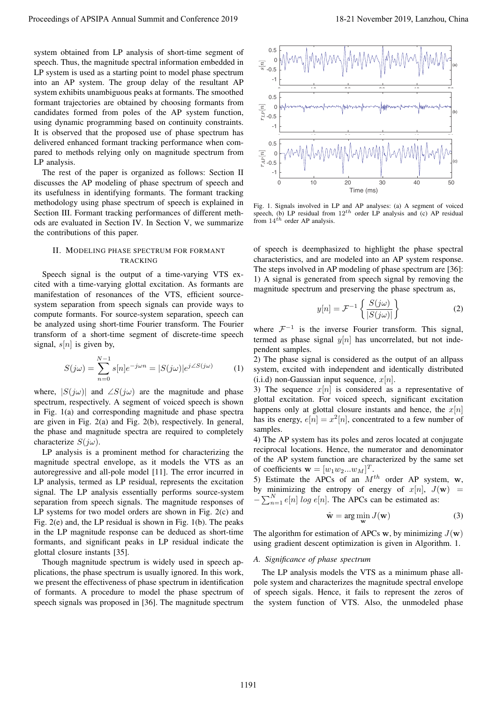system obtained from LP analysis of short-time segment of speech. Thus, the magnitude spectral information embedded in LP system is used as a starting point to model phase spectrum into an AP system. The group delay of the resultant AP system exhibits unambiguous peaks at formants. The smoothed formant trajectories are obtained by choosing formants from candidates formed from poles of the AP system function, using dynamic programming based on continuity constraints. It is observed that the proposed use of phase spectrum has delivered enhanced formant tracking performance when compared to methods relying only on magnitude spectrum from LP analysis.

The rest of the paper is organized as follows: Section II discusses the AP modeling of phase spectrum of speech and its usefulness in identifying formants. The formant tracking methodology using phase spectrum of speech is explained in Section III. Formant tracking performances of different methods are evaluated in Section IV. In Section V, we summarize the contributions of this paper.

## II. MODELING PHASE SPECTRUM FOR FORMANT TRACKING

Speech signal is the output of a time-varying VTS excited with a time-varying glottal excitation. As formants are manifestation of resonances of the VTS, efficient sourcesystem separation from speech signals can provide ways to compute formants. For source-system separation, speech can be analyzed using short-time Fourier transform. The Fourier transform of a short-time segment of discrete-time speech signal,  $s[n]$  is given by,

$$
S(j\omega) = \sum_{n=0}^{N-1} s[n]e^{-j\omega n} = |S(j\omega)|e^{j\angle S(j\omega)} \tag{1}
$$

where,  $|S(i\omega)|$  and  $\angle S(i\omega)$  are the magnitude and phase spectrum, respectively. A segment of voiced speech is shown in Fig. 1(a) and corresponding magnitude and phase spectra are given in Fig. 2(a) and Fig. 2(b), respectively. In general, the phase and magnitude spectra are required to completely characterize  $S(j\omega)$ .

LP analysis is a prominent method for characterizing the magnitude spectral envelope, as it models the VTS as an autoregressive and all-pole model [11]. The error incurred in LP analysis, termed as LP residual, represents the excitation signal. The LP analysis essentially performs source-system separation from speech signals. The magnitude responses of LP systems for two model orders are shown in Fig. 2(c) and Fig. 2(e) and, the LP residual is shown in Fig. 1(b). The peaks in the LP magnitude response can be deduced as short-time formants, and significant peaks in LP residual indicate the glottal closure instants [35].

Though magnitude spectrum is widely used in speech applications, the phase spectrum is usually ignored. In this work, we present the effectiveness of phase spectrum in identification of formants. A procedure to model the phase spectrum of speech signals was proposed in [36]. The magnitude spectrum



Fig. 1. Signals involved in LP and AP analyses: (a) A segment of voiced speech, (b) LP residual from 12*th* order LP analysis and (c) AP residual from  $14^{\hat{t}h}$  order AP analysis.

of speech is deemphasized to highlight the phase spectral characteristics, and are modeled into an AP system response. The steps involved in AP modeling of phase spectrum are [36]: 1) A signal is generated from speech signal by removing the magnitude spectrum and preserving the phase spectrum as,

$$
y[n] = \mathcal{F}^{-1}\left\{\frac{S(j\omega)}{|S(j\omega)|}\right\}
$$
 (2)

where  $\mathcal{F}^{-1}$  is the inverse Fourier transform. This signal, termed as phase signal  $y[n]$  has uncorrelated, but not independent samples.

2) The phase signal is considered as the output of an allpass system, excited with independent and identically distributed (i.i.d) non-Gaussian input sequence,  $x[n]$ .

3) The sequence  $x[n]$  is considered as a representative of glottal excitation. For voiced speech, significant excitation happens only at glottal closure instants and hence, the  $x[n]$ has its energy,  $e[n] = x^2[n]$ , concentrated to a few number of samples.

4) The AP system has its poles and zeros located at conjugate reciprocal locations. Hence, the numerator and denominator of the AP system function are characterized by the same set of coefficients  $\mathbf{w} = [w_1 w_2 ... w_M]^T$ .<br>
5) Estimate the APCs of an M<sup>1</sup>

5) Estimate the APCs of an  $M^{th}$  order AP system,  $w$ , by minimizing the entropy of energy of  $x[n]$ ,  $J(\mathbf{w})$  =  $-\sum_{n=1}^{N} e[n]$  log  $e[n]$ . The APCs can be estimated as:

$$
\hat{\mathbf{w}} = \arg\min_{\mathbf{w}} J(\mathbf{w})
$$
 (3)

The algorithm for estimation of APCs **w**, by minimizing  $J(\mathbf{w})$ using gradient descent optimization is given in Algorithm. 1.

#### *A. Significance of phase spectrum*

The LP analysis models the VTS as a minimum phase allpole system and characterizes the magnitude spectral envelope of speech sigals. Hence, it fails to represent the zeros of the system function of VTS. Also, the unmodeled phase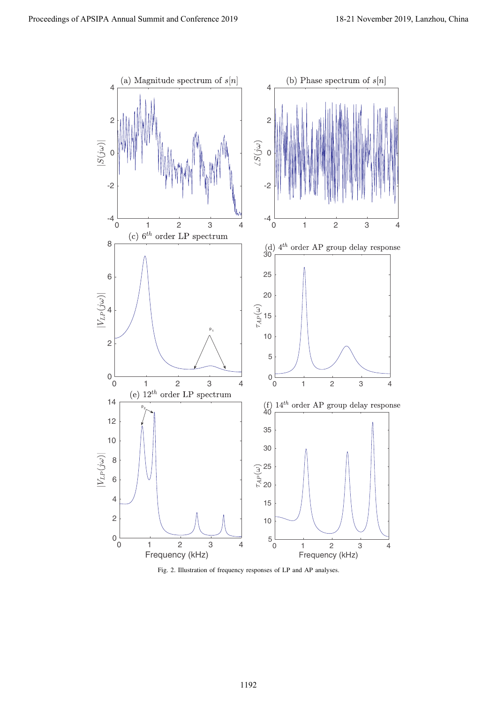

Fig. 2. Illustration of frequency responses of LP and AP analyses.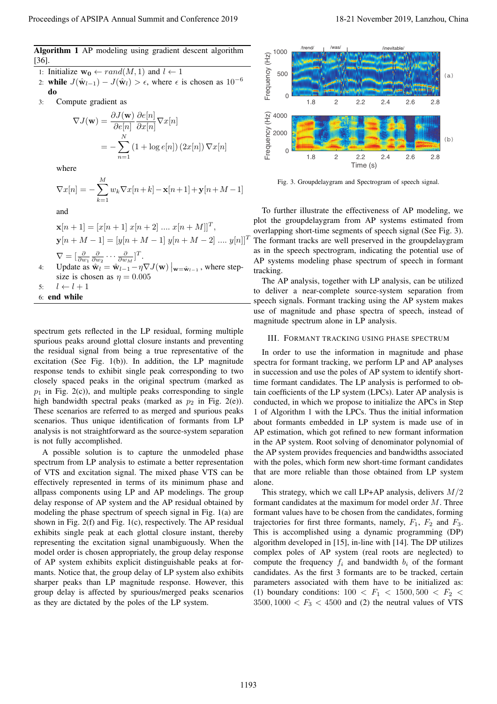1: Initialize  $\mathbf{w_0} \leftarrow rand(\overline{M}, 1)$  and  $l \leftarrow 1$ <br>2: **while**  $J(\hat{\mathbf{w}}_{l-1}) - J(\hat{\mathbf{w}}_l) > \epsilon$ , where  $\epsilon$ 

- **while**  $J(\hat{\mathbf{w}}_{l-1}) J(\hat{\mathbf{w}}_l) > \epsilon$ , where  $\epsilon$  is chosen as 10<sup>-6</sup> **do**
- 3: Compute gradient as

$$
\nabla J(\mathbf{w}) = \frac{\partial J(\mathbf{w})}{\partial e[n]} \frac{\partial e[n]}{\partial x[n]} \nabla x[n]
$$

$$
= -\sum_{n=1}^{N} (1 + \log e[n]) (2x[n]) \nabla x[n]
$$

where

$$
\nabla x[n] = -\sum_{k=1}^{M} w_k \nabla x[n+k] - \mathbf{x}[n+1] + \mathbf{y}[n+M-1]
$$

and

$$
\mathbf{x}[n+1] = [x[n+1] \ x[n+2] \dots x[n+M]]^T,
$$
  
\n
$$
\mathbf{y}[n+M-1] = [y[n+M-1] \ y[n+M-2] \dots y[n]]^T
$$
  
\n
$$
\nabla = \left[\frac{\partial}{\partial w_1} \frac{\partial}{\partial w_2} \dots \frac{\partial}{\partial w_M}\right]^T.
$$
  
\n4: Update as  $\hat{\mathbf{w}}_l = \hat{\mathbf{w}}_{l-1} - \eta \nabla J(\mathbf{w}) \big|_{\mathbf{w} = \hat{\mathbf{w}}_{l-1}}$ , where step-  
\nsize is chosen as  $\eta = 0.005$ 

5: 
$$
l \leftarrow l + 1
$$
  
6: end while

spectrum gets reflected in the LP residual, forming multiple spurious peaks around glottal closure instants and preventing the residual signal from being a true representative of the excitation (See Fig. 1(b)). In addition, the LP magnitude response tends to exhibit single peak corresponding to two closely spaced peaks in the original spectrum (marked as  $p_1$  in Fig. 2(c)), and multiple peaks corresponding to single high bandwidth spectral peaks (marked as  $p_2$  in Fig. 2(e)). These scenarios are referred to as merged and spurious peaks scenarios. Thus unique identification of formants from LP analysis is not straightforward as the source-system separation is not fully accomplished.

A possible solution is to capture the unmodeled phase spectrum from LP analysis to estimate a better representation of VTS and excitation signal. The mixed phase VTS can be effectively represented in terms of its minimum phase and allpass components using LP and AP modelings. The group delay response of AP system and the AP residual obtained by modeling the phase spectrum of speech signal in Fig. 1(a) are shown in Fig. 2(f) and Fig. 1(c), respectively. The AP residual exhibits single peak at each glottal closure instant, thereby representing the excitation signal unambiguously. When the model order is chosen appropriately, the group delay response of AP system exhibits explicit distinguishable peaks at formants. Notice that, the group delay of LP system also exhibits sharper peaks than LP magnitude response. However, this group delay is affected by spurious/merged peaks scenarios as they are dictated by the poles of the LP system. Proceeding of APSIPA Annual Summit and Conference 2019<br>
Also has a computer of APSIPA Annual Summit and Conference 2019<br>
2011 - Also has a computer of APSIPA Annual Summit and Conference 2019, Lanzhou, China 1193 - China



Fig. 3. Groupdelaygram and Spectrogram of speech signal.

To further illustrate the effectiveness of AP modeling, we plot the groupdelaygram from AP systems estimated from overlapping short-time segments of speech signal (See Fig. 3). The formant tracks are well preserved in the groupdelaygram as in the speech spectrogram, indicating the potential use of AP systems modeling phase spectrum of speech in formant tracking.

The AP analysis, together with LP analysis, can be utilized to deliver a near-complete source-system separation from speech signals. Formant tracking using the AP system makes use of magnitude and phase spectra of speech, instead of magnitude spectrum alone in LP analysis.

## III. FORMANT TRACKING USING PHASE SPECTRUM

In order to use the information in magnitude and phase spectra for formant tracking, we perform LP and AP analyses in succession and use the poles of AP system to identify shorttime formant candidates. The LP analysis is performed to obtain coefficients of the LP system (LPCs). Later AP analysis is conducted, in which we propose to initialize the APCs in Step 1 of Algorithm 1 with the LPCs. Thus the initial information about formants embedded in LP system is made use of in AP estimation, which got refined to new formant information in the AP system. Root solving of denominator polynomial of the AP system provides frequencies and bandwidths associated with the poles, which form new short-time formant candidates that are more reliable than those obtained from LP system alone.

This strategy, which we call LP+AP analysis, delivers  $M/2$ formant candidates at the maximum for model order M. Three formant values have to be chosen from the candidates, forming trajectories for first three formants, namely,  $F_1$ ,  $F_2$  and  $F_3$ . This is accomplished using a dynamic programming (DP) algorithm developed in [15], in-line with [14]. The DP utilizes complex poles of AP system (real roots are neglected) to compute the frequency  $f_i$  and bandwidth  $b_i$  of the formant candidates. As the first 3 formants are to be tracked, certain parameters associated with them have to be initialized as: (1) boundary conditions:  $100 \lt F_1 \lt 1500, 500 \lt F_2 \lt 1500$  $3500, 1000 < F<sub>3</sub> < 4500$  and (2) the neutral values of VTS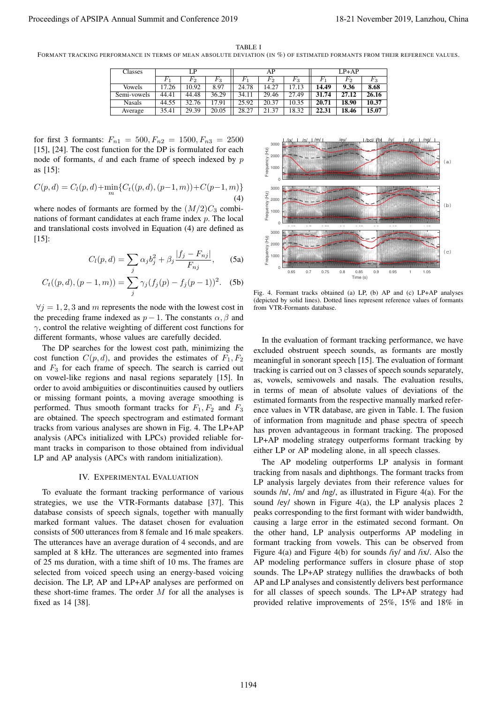TABLE I

FORMANT TRACKING PERFORMANCE IN TERMS OF MEAN ABSOLUTE DEVIATION (IN %) OF ESTIMATED FORMANTS FROM THEIR REFERENCE VALUES.

| Classes       | LP    |       |       | AP    |         |       | $LP+AP$ |       |       |
|---------------|-------|-------|-------|-------|---------|-------|---------|-------|-------|
|               |       | F2    | Fз    |       | $F_{2}$ | Fз    |         | F2    | r3    |
| <b>Vowels</b> | 17.26 | 10.92 | 8.97  | 24.78 | 14.27   | 17.13 | 14.49   | 9.36  | 8.68  |
| Semi-vowels   | 44.41 | 44.48 | 36.29 | 34.11 | 29.46   | 27.49 | 31.74   | 27.12 | 26.16 |
| <b>Nasals</b> | 44.55 | 32.76 | 17.91 | 25.92 | 20.37   | 10.35 | 20.71   | 18.90 | 10.37 |
| Average       | 35.41 | 29.39 | 20.05 | 28.27 | 21.37   | 18.32 | 22.31   | 18.46 | 15.07 |

for first 3 formants:  $F_{n1} = 500, F_{n2} = 1500, F_{n3} = 2500$ [15], [24]. The cost function for the DP is formulated for each node of formants, d and each frame of speech indexed by p as [15]:

$$
C(p,d) = C_l(p,d) + \min_m \{C_t((p,d),(p-1,m)) + C(p-1,m)\}
$$
\n(4)

where nodes of formants are formed by the  $(M/2)C_3$  combinations of formant candidates at each frame index p. The local and translational costs involved in Equation (4) are defined as [15]:

$$
C_l(p,d) = \sum_j \alpha_j b_j^2 + \beta_j \frac{|f_j - F_{nj}|}{F_{nj}}, \qquad \text{(5a)}
$$

$$
C_t((p,d),(p-1,m)) = \sum_j \gamma_j (f_j(p) - f_j(p-1))^2.
$$
 (5b)

 $\forall j = 1, 2, 3$  and m represents the node with the lowest cost in the preceding frame indexed as  $p-1$ . The constants  $\alpha$ ,  $\beta$  and  $\gamma$ , control the relative weighting of different cost functions for different formants, whose values are carefully decided.

The DP searches for the lowest cost path, minimizing the cost function  $C(p, d)$ , and provides the estimates of  $F_1, F_2$ and  $F_3$  for each frame of speech. The search is carried out on vowel-like regions and nasal regions separately [15]. In order to avoid ambiguities or discontinuities caused by outliers or missing formant points, a moving average smoothing is performed. Thus smooth formant tracks for  $F_1, F_2$  and  $F_3$ are obtained. The speech spectrogram and estimated formant tracks from various analyses are shown in Fig. 4. The LP+AP analysis (APCs initialized with LPCs) provided reliable formant tracks in comparison to those obtained from individual LP and AP analysis (APCs with random initialization).

### IV. EXPERIMENTAL EVALUATION

To evaluate the formant tracking performance of various strategies, we use the VTR-Formants database [37]. This database consists of speech signals, together with manually marked formant values. The dataset chosen for evaluation consists of 500 utterances from 8 female and 16 male speakers. The utterances have an average duration of 4 seconds, and are sampled at 8 kHz. The utterances are segmented into frames of 25 ms duration, with a time shift of 10 ms. The frames are selected from voiced speech using an energy-based voicing decision. The LP, AP and LP+AP analyses are performed on these short-time frames. The order  $M$  for all the analyses is fixed as 14 [38].



Fig. 4. Formant tracks obtained (a) LP, (b) AP and (c) LP+AP analyses (depicted by solid lines). Dotted lines represent reference values of formants from VTR-Formants database.

In the evaluation of formant tracking performance, we have excluded obstruent speech sounds, as formants are mostly meaningful in sonorant speech [15]. The evaluation of formant tracking is carried out on 3 classes of speech sounds separately, as, vowels, semivowels and nasals. The evaluation results, in terms of mean of absolute values of deviations of the estimated formants from the respective manually marked reference values in VTR database, are given in Table. I. The fusion of information from magnitude and phase spectra of speech has proven advantageous in formant tracking. The proposed LP+AP modeling strategy outperforms formant tracking by either LP or AP modeling alone, in all speech classes.

The AP modeling outperforms LP analysis in formant tracking from nasals and diphthongs. The formant tracks from LP analysis largely deviates from their reference values for sounds /n/, /m/ and /ng/, as illustrated in Figure 4(a). For the sound /ey/ shown in Figure 4(a), the LP analysis places 2 peaks corresponding to the first formant with wider bandwidth, causing a large error in the estimated second formant. On the other hand, LP analysis outperforms AP modeling in formant tracking from vowels. This can be observed from Figure 4(a) and Figure 4(b) for sounds /iy/ and /ix/. Also the AP modeling performance suffers in closure phase of stop sounds. The LP+AP strategy nullifies the drawbacks of both AP and LP analyses and consistently delivers best performance for all classes of speech sounds. The LP+AP strategy had provided relative improvements of 25%, 15% and 18% in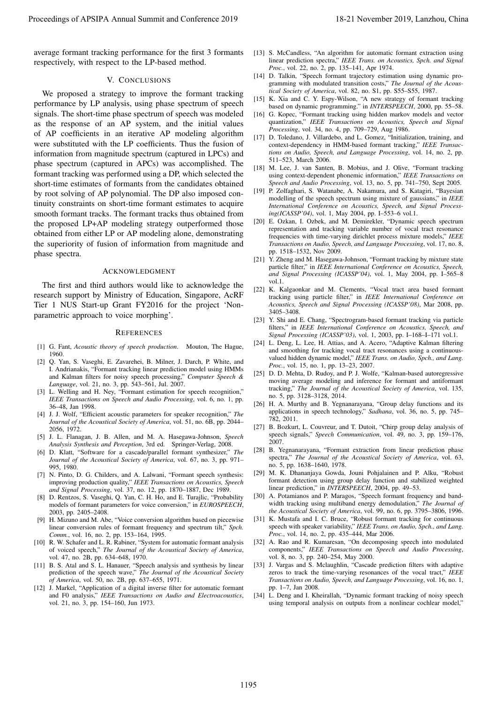average formant tracking performance for the first 3 formants respectively, with respect to the LP-based method.

## V. CONCLUSIONS

We proposed a strategy to improve the formant tracking performance by LP analysis, using phase spectrum of speech signals. The short-time phase spectrum of speech was modeled as the response of an AP system, and the initial values of AP coefficients in an iterative AP modeling algorithm were substituted with the LP coefficients. Thus the fusion of information from magnitude spectrum (captured in LPCs) and phase spectrum (captured in APCs) was accomplished. The formant tracking was performed using a DP, which selected the short-time estimates of formants from the candidates obtained by root solving of AP polynomial. The DP also imposed continuity constraints on short-time formant estimates to acquire smooth formant tracks. The formant tracks thus obtained from the proposed LP+AP modeling strategy outperformed those obtained from either LP or AP modeling alone, demonstrating the superiority of fusion of information from magnitude and phase spectra. Proceeding of APSIPA Annual Summit and Conference 2019<br>
Suppose the summit and Conference 2019, Lanzhou, China 2019, Lanzhou, China 2019, Lanzhou, China 2019, Lanzhou, China 2019, Lanzhou, China 2019, Lanzhou, China 2019,

### ACKNOWLEDGMENT

The first and third authors would like to acknowledge the research support by Ministry of Education, Singapore, AcRF Tier 1 NUS Start-up Grant FY2016 for the project 'Nonparametric approach to voice morphing'.

### **REFERENCES**

- [1] G. Fant, *Acoustic theory of speech production*. Mouton, The Hague, 1960.
- [2] Q. Yan, S. Vaseghi, E. Zavarehei, B. Milner, J. Darch, P. White, and I. Andrianakis, "Formant tracking linear prediction model using HMMs and Kalman filters for noisy speech processing," *Computer Speech & Language*, vol. 21, no. 3, pp. 543–561, Jul. 2007.
- [3] L. Welling and H. Ney, "Formant estimation for speech recognition," *IEEE Transactions on Speech and Audio Processing*, vol. 6, no. 1, pp. 36–48, Jan 1998.
- [4] J. J. Wolf, "Efficient acoustic parameters for speaker recognition," *The Journal of the Acoustical Society of America*, vol. 51, no. 6B, pp. 2044– 2056, 1972.
- [5] J. L. Flanagan, J. B. Allen, and M. A. Hasegawa-Johnson, *Speech Analysis Synthesis and Perception*, 3rd ed. Springer-Verlag, 2008.
- [6] D. Klatt, "Software for a cascade/parallel formant synthesizer," *The Journal of the Acoustical Society of America*, vol. 67, no. 3, pp. 971– 995, 1980.
- [7] N. Pinto, D. G. Childers, and A. Lalwani, "Formant speech synthesis: improving production quality," *IEEE Transactions on Acoustics, Speech and Signal Processing*, vol. 37, no. 12, pp. 1870–1887, Dec 1989.
- [8] D. Rentzos, S. Vaseghi, Q. Yan, C. H. Ho, and E. Turajlic, "Probability models of formant parameters for voice conversion," in *EUROSPEECH*, 2003, pp. 2405–2408.
- [9] H. Mizuno and M. Abe, "Voice conversion algorithm based on piecewise linear conversion rules of formant frequency and spectrum tilt," *Spch. Comm.*, vol. 16, no. 2, pp. 153–164, 1995.
- [10] R. W. Schafer and L. R. Rabiner, "System for automatic formant analysis of voiced speech," *The Journal of the Acoustical Society of America*, vol. 47, no. 2B, pp. 634–648, 1970.
- [11] B. S. Atal and S. L. Hanauer, "Speech analysis and synthesis by linear prediction of the speech wave," *The Journal of the Acoustical Society of America*, vol. 50, no. 2B, pp. 637–655, 1971.
- [12] J. Markel, "Application of a digital inverse filter for automatic formant and F0 analysis," *IEEE Transactions on Audio and Electroacoustics*, vol. 21, no. 3, pp. 154–160, Jun 1973.
- [13] S. McCandless, "An algorithm for automatic formant extraction using linear prediction spectra," *IEEE Trans. on Acoustics, Spch. and Signal Proc.*, vol. 22, no. 2, pp. 135–141, Apr 1974.
- [14] D. Talkin, "Speech formant trajectory estimation using dynamic programming with modulated transition costs," *The Journal of the Acoustical Society of America*, vol. 82, no. S1, pp. S55–S55, 1987.
- [15] K. Xia and C. Y. Espy-Wilson, "A new strategy of formant tracking based on dynamic programming." in *INTERSPEECH*, 2000, pp. 55–58.
- [16] G. Kopec, "Formant tracking using hidden markov models and vector quantization," *IEEE Transactions on Acoustics, Speech and Signal Processing*, vol. 34, no. 4, pp. 709–729, Aug 1986.
- [17] D. Toledano, J. Villardebo, and L. Gomez, "Initialization, training, and context-dependency in HMM-based formant tracking," *IEEE Transactions on Audio, Speech, and Language Processing*, vol. 14, no. 2, pp. 511–523, March 2006.
- [18] M. Lee, J. van Santen, B. Mobius, and J. Olive, "Formant tracking using context-dependent phonemic information," *IEEE Transactions on Speech and Audio Processing*, vol. 13, no. 5, pp. 741–750, Sept 2005.
- [19] P. Zolfaghari, S. Watanabe, A. Nakamura, and S. Katagiri, "Bayesian modelling of the speech spectrum using mixture of gaussians," in *IEEE International Conference on Acoustics, Speech, and Signal Processing(ICASSP'04)*, vol. 1, May 2004, pp. I–553–6 vol.1.
- [20] E. Ozkan, I. Ozbek, and M. Demirekler, "Dynamic speech spectrum representation and tracking variable number of vocal tract resonance frequencies with time-varying dirichlet process mixture models," *IEEE Transactions on Audio, Speech, and Language Processing*, vol. 17, no. 8, pp. 1518–1532, Nov 2009.
- [21] Y. Zheng and M. Hasegawa-Johnson, "Formant tracking by mixture state particle filter," in *IEEE International Conference on Acoustics, Speech, and Signal Processing (ICASSP'04)*, vol. 1, May 2004, pp. I–565–8 vol.1.
- [22] K. Kalgaonkar and M. Clements, "Vocal tract area based formant tracking using particle filter," in *IEEE International Conference on Acoustics, Speech and Signal Processing (ICASSP'08)*, Mar 2008, pp. 3405–3408.
- [23] Y. Shi and E. Chang, "Spectrogram-based formant tracking via particle filters," in *IEEE International Conference on Acoustics, Speech, and Signal Processing (ICASSP'03)*, vol. 1, 2003, pp. I–168–I–171 vol.1.
- [24] L. Deng, L. Lee, H. Attias, and A. Acero, "Adaptive Kalman filtering and smoothing for tracking vocal tract resonances using a continuousvalued hidden dynamic model," *IEEE Trans. on Audio, Spch., and Lang. Proc.*, vol. 15, no. 1, pp. 13–23, 2007.
- [25] D. D. Mehta, D. Rudoy, and P. J. Wolfe, "Kalman-based autoregressive moving average modeling and inference for formant and antiformant tracking," *The Journal of the Acoustical Society of America*, vol. 135, no. 5, pp. 3128–3128, 2014.
- [26] H. A. Murthy and B. Yegnanarayana, "Group delay functions and its applications in speech technology," *Sadhana*, vol. 36, no. 5, pp. 745– 782, 2011.
- [27] B. Bozkurt, L. Couvreur, and T. Dutoit, "Chirp group delay analysis of speech signals," *Speech Communication*, vol. 49, no. 3, pp. 159–176, 2007.
- [28] B. Yegnanarayana, "Formant extraction from linear prediction phase spectra," *The Journal of the Acoustical Society of America*, vol. 63, no. 5, pp. 1638–1640, 1978.
- [29] M. K. Dhananjaya Gowda, Jouni Pohjalainen and P. Alku, "Robust formant detection using group delay function and stabilized weighted linear prediction," in *INTERSPEECH*, 2004, pp. 49–53.
- [30] A. Potamianos and P. Maragos, "Speech formant frequency and bandwidth tracking using multiband energy demodulation," *The Journal of the Acoustical Society of America*, vol. 99, no. 6, pp. 3795–3806, 1996.
- [31] K. Mustafa and I. C. Bruce, "Robust formant tracking for continuous speech with speaker variability," *IEEE Trans. on Audio, Spch., and Lang. Proc.*, vol. 14, no. 2, pp. 435–444, Mar 2006.
- [32] A. Rao and R. Kumaresan, "On decomposing speech into modulated components," *IEEE Transactions on Speech and Audio Processing*, vol. 8, no. 3, pp. 240–254, May 2000.
- [33] J. Vargas and S. Mclaughlin, "Cascade prediction filters with adaptive zeros to track the time-varying resonances of the vocal tract," *IEEE Transactions on Audio, Speech, and Language Processing*, vol. 16, no. 1, pp. 1–7, Jan 2008.
- [34] L. Deng and I. Kheirallah, "Dynamic formant tracking of noisy speech using temporal analysis on outputs from a nonlinear cochlear model,"